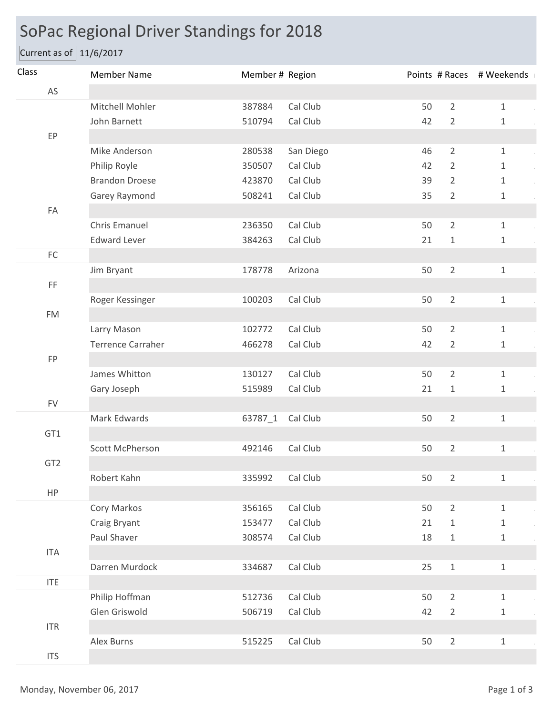## SoPac Regional Driver Standings for 2018

Current as of 11/6/2017

| Class           | <b>Member Name</b>       | Member # Region |           |    |                | Points # Races # Weekends |
|-----------------|--------------------------|-----------------|-----------|----|----------------|---------------------------|
| AS              |                          |                 |           |    |                |                           |
| EP              | Mitchell Mohler          | 387884          | Cal Club  | 50 | $\overline{2}$ | $\mathbf{1}$              |
|                 | John Barnett             | 510794          | Cal Club  | 42 | $\overline{2}$ | 1                         |
|                 |                          |                 |           |    |                |                           |
|                 | Mike Anderson            | 280538          | San Diego | 46 | $\overline{2}$ | $\mathbf{1}$              |
|                 | Philip Royle             | 350507          | Cal Club  | 42 | $\overline{2}$ | $\mathbf{1}$              |
|                 | <b>Brandon Droese</b>    | 423870          | Cal Club  | 39 | 2              | $\mathbf{1}$              |
|                 | Garey Raymond            | 508241          | Cal Club  | 35 | $\overline{2}$ | 1                         |
| FA              |                          |                 |           |    |                |                           |
|                 | Chris Emanuel            | 236350          | Cal Club  | 50 | $\overline{2}$ | $\mathbf{1}$              |
|                 | <b>Edward Lever</b>      | 384263          | Cal Club  | 21 | $\mathbf{1}$   | $\mathbf{1}$              |
| $\mathsf{FC}$   |                          |                 |           |    |                |                           |
|                 | Jim Bryant               | 178778          | Arizona   | 50 | $\overline{2}$ | $\mathbf{1}$              |
| FF              |                          |                 |           |    |                |                           |
|                 | Roger Kessinger          | 100203          | Cal Club  | 50 | $\overline{2}$ | $\mathbf{1}$              |
| <b>FM</b>       |                          |                 |           |    |                |                           |
|                 | Larry Mason              | 102772          | Cal Club  | 50 | $\overline{2}$ | $\mathbf{1}$              |
|                 | <b>Terrence Carraher</b> | 466278          | Cal Club  | 42 | $\overline{2}$ | $\mathbf{1}$              |
| <b>FP</b>       |                          |                 |           |    |                |                           |
|                 | James Whitton            | 130127          | Cal Club  | 50 | $\overline{2}$ | $\mathbf{1}$              |
|                 | Gary Joseph              | 515989          | Cal Club  | 21 | $\mathbf{1}$   | $\mathbf{1}$              |
| <b>FV</b>       |                          |                 |           |    |                |                           |
|                 | Mark Edwards             | 63787_1         | Cal Club  | 50 | $\overline{2}$ | $\mathbf{1}$              |
| GT1             |                          |                 |           |    |                |                           |
|                 | Scott McPherson          | 492146          | Cal Club  | 50 | $\overline{2}$ | $\mathbf{1}$              |
| GT <sub>2</sub> |                          |                 |           |    |                |                           |
| HP              | Robert Kahn              | 335992          | Cal Club  | 50 | $\overline{2}$ | $\mathbf{1}$              |
|                 |                          |                 |           |    |                |                           |
|                 | Cory Markos              | 356165          | Cal Club  | 50 | $\overline{2}$ | $\mathbf{1}$              |
|                 | Craig Bryant             | 153477          | Cal Club  | 21 | $\mathbf{1}$   | $\mathbf{1}$              |
| <b>ITA</b>      | Paul Shaver              | 308574          | Cal Club  | 18 | $1\,$          | $\mathbf{1}$              |
|                 | Darren Murdock           | 334687          | Cal Club  | 25 | $\,1\,$        | $\mathbf{1}$              |
| <b>ITE</b>      |                          |                 |           |    |                |                           |
|                 | Philip Hoffman           | 512736          | Cal Club  | 50 | $\overline{2}$ | $\mathbf{1}$              |
|                 | Glen Griswold            | 506719          | Cal Club  | 42 | $\overline{2}$ | $\mathbf 1$               |
| ITR             |                          |                 |           |    |                |                           |
|                 | Alex Burns               | 515225          | Cal Club  | 50 | $\overline{2}$ | $\mathbf{1}$              |
| <b>ITS</b>      |                          |                 |           |    |                |                           |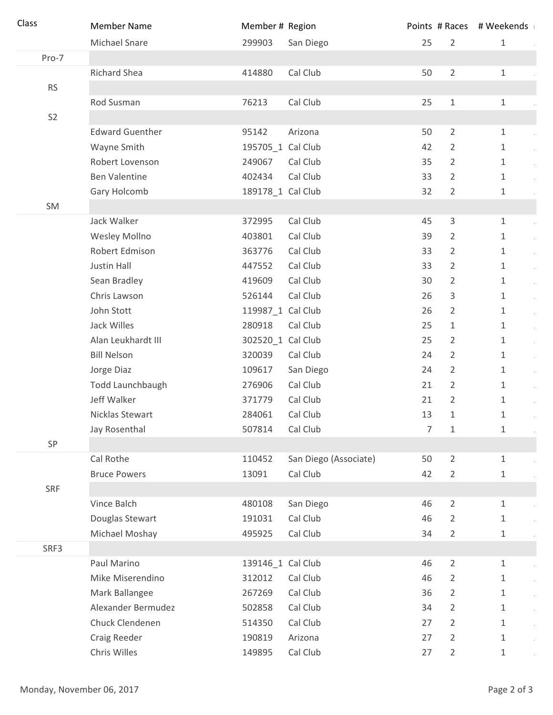| Class          | <b>Member Name</b>     | Member # Region   |                       |                |                | Points # Races # Weekends                   |
|----------------|------------------------|-------------------|-----------------------|----------------|----------------|---------------------------------------------|
|                | Michael Snare          | 299903            | San Diego             | 25             | $\overline{2}$ | $\mathbf{1}$                                |
| Pro-7          |                        |                   |                       |                |                |                                             |
|                | <b>Richard Shea</b>    | 414880            | Cal Club              | 50             | $\overline{2}$ | $\mathbf{1}$                                |
| <b>RS</b>      |                        |                   |                       |                |                |                                             |
|                | Rod Susman             | 76213             | Cal Club              | 25             | $\mathbf 1$    | $\mathbf{1}$                                |
| S <sub>2</sub> |                        |                   |                       |                |                |                                             |
|                | <b>Edward Guenther</b> | 95142             | Arizona               | 50             | $\overline{2}$ | $\mathbf{1}$                                |
|                | Wayne Smith            | 195705_1 Cal Club |                       | 42             | $\overline{2}$ | 1                                           |
|                | Robert Lovenson        | 249067            | Cal Club              | 35             | $\overline{2}$ | $\mathbf{1}$                                |
|                | <b>Ben Valentine</b>   | 402434            | Cal Club              | 33             | $\overline{2}$ | $\mathbf{1}$                                |
|                | Gary Holcomb           | 189178_1 Cal Club |                       | 32             | $\overline{2}$ | $\mathbf{1}$                                |
| SM             |                        |                   |                       |                |                |                                             |
|                | Jack Walker            | 372995            | Cal Club              | 45             | $\mathbf{3}$   | $\mathbf{1}$                                |
|                | Wesley Mollno          | 403801            | Cal Club              | 39             | $\overline{2}$ | $\mathbf{1}$                                |
|                | Robert Edmison         | 363776            | Cal Club              | 33             | $\overline{2}$ | $\mathbf{1}$<br>$\alpha$                    |
|                | Justin Hall            | 447552            | Cal Club              | 33             | $\overline{2}$ | $\mathbf{1}$<br>$\sim$                      |
|                | Sean Bradley           | 419609            | Cal Club              | 30             | 2              | $\mathbf{1}$<br>$\alpha$                    |
|                | Chris Lawson           | 526144            | Cal Club              | 26             | 3              | $\mathbf{1}$<br>$\alpha$                    |
|                | John Stott             | 119987_1 Cal Club |                       | 26             | 2              | $\mathbf{1}$<br>$\sim$                      |
|                | Jack Willes            | 280918            | Cal Club              | 25             | $\mathbf{1}$   | $\mathbf{1}$<br>$\mathcal{L}^{\mathcal{L}}$ |
|                | Alan Leukhardt III     | 302520_1 Cal Club |                       | 25             | 2              | $\mathbf{1}$<br>$\alpha$                    |
|                | <b>Bill Nelson</b>     | 320039            | Cal Club              | 24             | $\overline{2}$ | $\mathbf{1}$<br>$\alpha$                    |
|                | Jorge Diaz             | 109617            | San Diego             | 24             | $\overline{2}$ | $\mathbf{1}$<br>$\alpha$                    |
|                | Todd Launchbaugh       | 276906            | Cal Club              | 21             | $\overline{2}$ | $\mathbf{1}$<br>$\mathcal{L}^{\mathcal{L}}$ |
|                | Jeff Walker            | 371779            | Cal Club              | 21             | $\overline{2}$ | $\mathbf{1}$                                |
|                | Nicklas Stewart        | 284061            | Cal Club              | 13             | 1              | 1                                           |
|                | Jay Rosenthal          | 507814            | Cal Club              | $\overline{7}$ | $\mathbf{1}$   | $\mathbf{1}$                                |
| SP             |                        |                   |                       |                |                |                                             |
|                | Cal Rothe              | 110452            | San Diego (Associate) | 50             | $\overline{2}$ | $\mathbf{1}$                                |
|                | <b>Bruce Powers</b>    | 13091             | Cal Club              | 42             | 2              | $\mathbf{1}$                                |
| <b>SRF</b>     |                        |                   |                       |                |                |                                             |
|                | Vince Balch            | 480108            | San Diego             | 46             | $\overline{2}$ | $\mathbf{1}$                                |
|                | Douglas Stewart        | 191031            | Cal Club              | 46             | 2              | 1                                           |
|                | Michael Moshay         | 495925            | Cal Club              | 34             | 2              | 1                                           |
| SRF3           |                        |                   |                       |                |                |                                             |
|                | Paul Marino            | 139146_1 Cal Club |                       | 46             | $\overline{2}$ | $\mathbf{1}$                                |
|                | Mike Miserendino       | 312012            | Cal Club              | 46             | 2              | 1                                           |
|                | Mark Ballangee         | 267269            | Cal Club              | 36             | $\overline{2}$ | $\mathbf{1}$                                |
|                | Alexander Bermudez     | 502858            | Cal Club              | 34             | $\overline{2}$ | $\mathbf{1}$<br>$\mathcal{L}^{\pm}$         |
|                | Chuck Clendenen        | 514350            | Cal Club              | 27             | $\overline{2}$ | $\mathbf{1}$                                |
|                | Craig Reeder           | 190819            | Arizona               | 27             | 2              | 1                                           |
|                | Chris Willes           | 149895            | Cal Club              | 27             | $\overline{2}$ | $\mathbf 1$                                 |